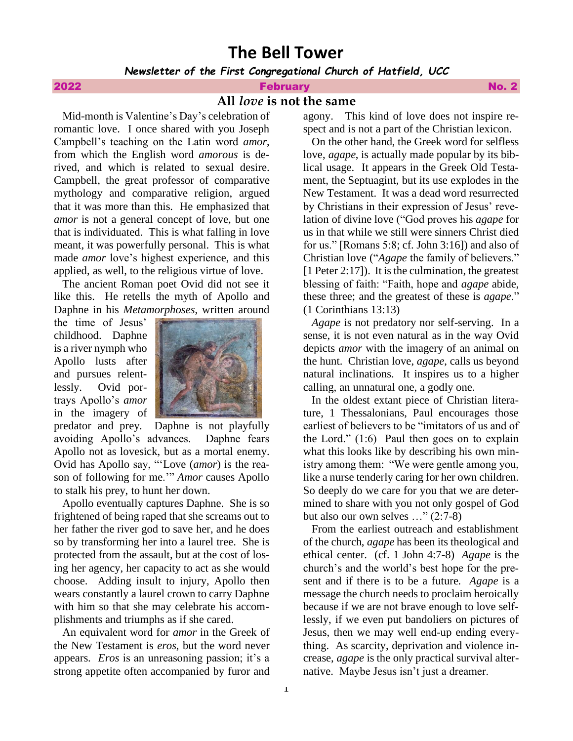# **The Bell Tower**

*Newsletter of the First Congregational Church of Hatfield, UCC*

## **2022 Example 2022 February And Example 2022 Research 2022 No. 2**

# **All** *love* **is not the same**

 Mid-month is Valentine's Day's celebration of romantic love. I once shared with you Joseph Campbell's teaching on the Latin word *amor*, from which the English word *amorous* is derived, and which is related to sexual desire. Campbell, the great professor of comparative mythology and comparative religion, argued that it was more than this. He emphasized that *amor* is not a general concept of love, but one that is individuated. This is what falling in love meant, it was powerfully personal. This is what made *amor* love's highest experience, and this applied, as well, to the religious virtue of love.

 The ancient Roman poet Ovid did not see it like this. He retells the myth of Apollo and Daphne in his *Metamorphoses*, written around

the time of Jesus' childhood. Daphne is a river nymph who Apollo lusts after and pursues relentlessly. Ovid portrays Apollo's *amor* in the imagery of



predator and prey. Daphne is not playfully avoiding Apollo's advances. Daphne fears Apollo not as lovesick, but as a mortal enemy. Ovid has Apollo say, "'Love (*amor*) is the reason of following for me.'" *Amor* causes Apollo to stalk his prey, to hunt her down.

 Apollo eventually captures Daphne. She is so frightened of being raped that she screams out to her father the river god to save her, and he does so by transforming her into a laurel tree. She is protected from the assault, but at the cost of losing her agency, her capacity to act as she would choose. Adding insult to injury, Apollo then wears constantly a laurel crown to carry Daphne with him so that she may celebrate his accomplishments and triumphs as if she cared.

 An equivalent word for *amor* in the Greek of the New Testament is *eros*, but the word never appears. *Eros* is an unreasoning passion; it's a strong appetite often accompanied by furor and agony. This kind of love does not inspire respect and is not a part of the Christian lexicon.

 On the other hand, the Greek word for selfless love, *agape*, is actually made popular by its biblical usage. It appears in the Greek Old Testament, the Septuagint, but its use explodes in the New Testament. It was a dead word resurrected by Christians in their expression of Jesus' revelation of divine love ("God proves his *agape* for us in that while we still were sinners Christ died for us." [Romans 5:8; cf. John 3:16]) and also of Christian love ("*Agape* the family of believers." [1 Peter 2:17]). It is the culmination, the greatest blessing of faith: "Faith, hope and *agape* abide, these three; and the greatest of these is *agape*." (1 Corinthians 13:13)

 *Agape* is not predatory nor self-serving. In a sense, it is not even natural as in the way Ovid depicts *amor* with the imagery of an animal on the hunt. Christian love, *agape*, calls us beyond natural inclinations. It inspires us to a higher calling, an unnatural one, a godly one.

 In the oldest extant piece of Christian literature, 1 Thessalonians, Paul encourages those earliest of believers to be "imitators of us and of the Lord." (1:6) Paul then goes on to explain what this looks like by describing his own ministry among them: "We were gentle among you, like a nurse tenderly caring for her own children. So deeply do we care for you that we are determined to share with you not only gospel of God but also our own selves …" (2:7-8)

 From the earliest outreach and establishment of the church, *agape* has been its theological and ethical center. (cf. 1 John 4:7-8) *Agape* is the church's and the world's best hope for the present and if there is to be a future. *Agape* is a message the church needs to proclaim heroically because if we are not brave enough to love selflessly, if we even put bandoliers on pictures of Jesus, then we may well end-up ending everything. As scarcity, deprivation and violence increase, *agape* is the only practical survival alternative. Maybe Jesus isn't just a dreamer.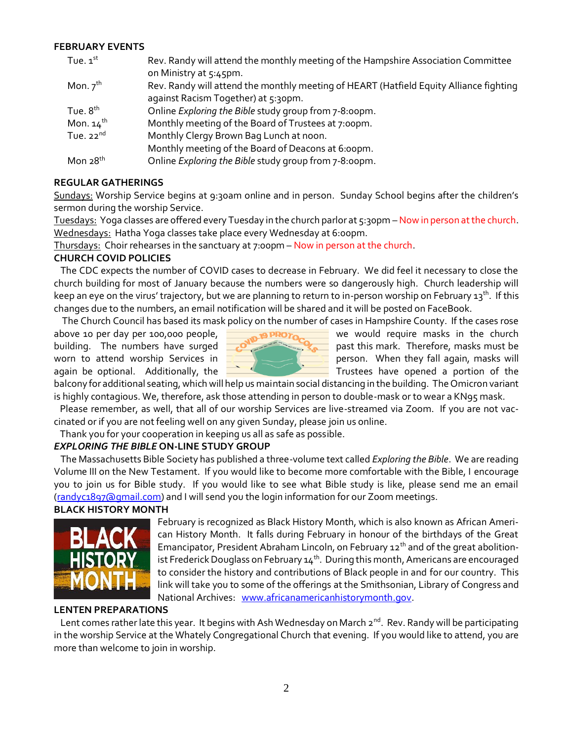## **FEBRUARY EVENTS**

| Tue. $1st$            | Rev. Randy will attend the monthly meeting of the Hampshire Association Committee      |
|-----------------------|----------------------------------------------------------------------------------------|
|                       | on Ministry at 5:45pm.                                                                 |
| Mon. $7^{\text{th}}$  | Rev. Randy will attend the monthly meeting of HEART (Hatfield Equity Alliance fighting |
|                       | against Racism Together) at 5:30pm.                                                    |
| Tue. $8th$            | Online Exploring the Bible study group from 7-8:00pm.                                  |
| Mon. $14^{\text{th}}$ | Monthly meeting of the Board of Trustees at 7:00pm.                                    |
| Tue. $22^{nd}$        | Monthly Clergy Brown Bag Lunch at noon.                                                |
|                       | Monthly meeting of the Board of Deacons at 6:00pm.                                     |
| Mon $28th$            | Online Exploring the Bible study group from 7-8:00pm.                                  |

## **REGULAR GATHERINGS**

Sundays: Worship Service begins at 9:30am online and in person. Sunday School begins after the children's sermon during the worship Service.

Tuesdays: Yoga classes are offered every Tuesday in the church parlor at 5:30pm –Now in person at the church. Wednesdays: Hatha Yoga classes take place every Wednesday at 6:00pm.

Thursdays: Choir rehearses in the sanctuary at 7:00pm – Now in person at the church.

## **CHURCH COVID POLICIES**

The CDC expects the number of COVID cases to decrease in February. We did feel it necessary to close the church building for most of January because the numbers were so dangerously high. Church leadership will keep an eye on the virus' trajectory, but we are planning to return to in-person worship on February 13<sup>th</sup>. If this changes due to the numbers, an email notification will be shared and it will be posted on FaceBook.

The Church Council has based its mask policy on the number of cases in Hampshire County. If the cases rose



above 10 per day per 100,000 people,  $\Box$  **NROTO** we would require masks in the church building. The numbers have surged  $\sim$   $\sim$   $\sim$   $\sim$  past this mark. Therefore, masks must be worn to attend worship Services in **person.** When they fall again, masks will again be optional. Additionally, the  $\Box$   $\Box$  Trustees have opened a portion of the

balcony for additional seating, which will help us maintain social distancing in the building. The Omicron variant is highly contagious. We, therefore, ask those attending in person to double-mask or to wear a KN95 mask.

 Please remember, as well, that all of our worship Services are live-streamed via Zoom. If you are not vaccinated or if you are not feeling well on any given Sunday, please join us online.

Thank you for your cooperation in keeping us all as safe as possible.

## *EXPLORING THE BIBLE* **ON-LINE STUDY GROUP**

The Massachusetts Bible Society has published a three-volume text called *Exploring the Bible*. We are reading Volume III on the New Testament. If you would like to become more comfortable with the Bible, I encourage you to join us for Bible study. If you would like to see what Bible study is like, please send me an email [\(randyc1897@gmail.com\)](mailto:randyc1897@gmail.com) and I will send you the login information for our Zoom meetings.

## **BLACK HISTORY MONTH**



February is recognized as Black History Month, which is also known as African American History Month. It falls during February in honour of the birthdays of the Great Emancipator, President Abraham Lincoln, on February  $12<sup>th</sup>$  and of the great abolitionist Frederick Douglass on February 14th. During this month, Americans are encouraged to consider the history and contributions of Black people in and for our country. This link will take you to some of the offerings at the Smithsonian, Library of Congress and National Archives: [www.africanamericanhistorymonth.gov.](http://www.africanamericanhistorymonth.gov/)

#### **LENTEN PREPARATIONS**

Lent comes rather late this year. It begins with Ash Wednesday on March 2<sup>nd</sup>. Rev. Randy will be participating in the worship Service at the Whately Congregational Church that evening. If you would like to attend, you are more than welcome to join in worship.